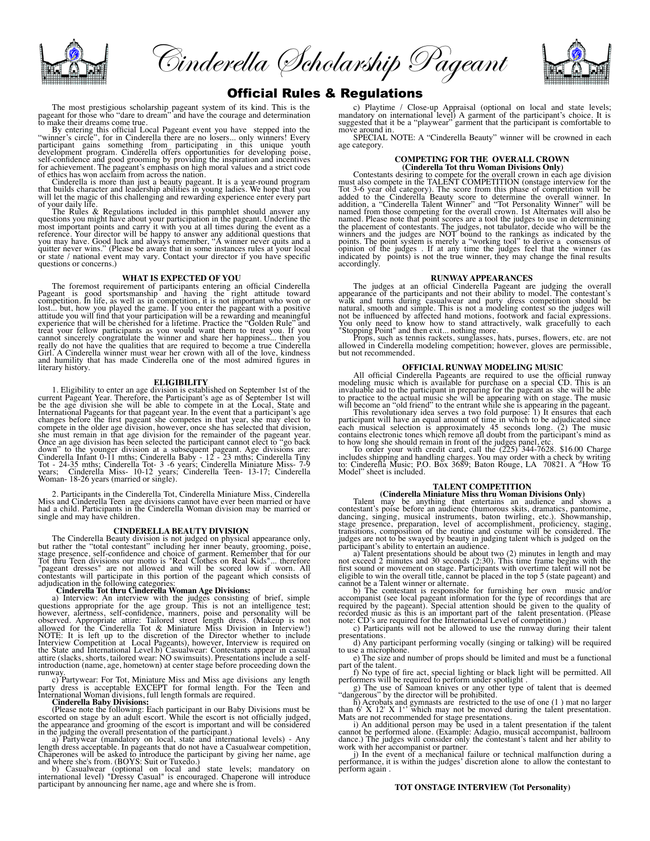

Cinderella Scholarship Pageant



## Official Rules & Regulations

The most prestigious scholarship pageant system of its kind. This is the pageant for those who "dare to dream" and have the courage and determination to make their dreams come true.

By entering this official Local Pageant event you have stepped into the<br>"winner's circle", for in Cinderella there are no losers... only winners! Every<br>participant gains something from participating in this unique youth<br>de

of ethics has won acclaim from across the nation. Cinderella is more than just a beauty pageant. It is a year-round program that builds character and leadership abilities in young ladies. We hope that you will let the magic of this challenging and rewarding experience enter every part of your daily life. The Rules & Regulations included in this pamphlet should answer any participations  $\frac{d}{dx}$  Regulations included in this pamphlet should answer any

most important points and carry it with you at all times during the event as a reference. Your director will be happy to answer any additional questions that you may have. Good luck and a lyour may have with squitter never questions or concerns.)

## **WHAT IS EXPECTED OF YOU**

The foremost requirement of participants entering an official Cinderella<br>Pageant is good sportsmanship and having the right attitude toward<br>competition. In life, as well as in competition, it is not important who won or<br>lo treat your fellow participants as you would want them to treat you. If you<br>cannot sincerely congratulate the winner and share her happiness... then you<br>really do not have the qualities that are required to become a true Ci

**ELIGIBILITY**<br>1. Eligibility to enter an age division is established on September 1st of the<br>current Pageant Year. Therefore, the Participant's age as of September 1st will<br>be the age division she will be able to compete i Once an age division has been selected the participant cannot elect to "go back<br>down" to the younger division at a subsequent pageant. Age divisions are:<br>Cinderella Infant 0-11 mths; Cinderella Baby - 12 - 23 mths; Cindere

2. Participants in the Cinderella Tot, Cinderella Miniature Miss, Cinderella Miss and Cinderella Teen age divisions cannot have ever been married or have had a child. Participants in the Cinderella Woman division may be married or single and may have children.

## **CINDERELLA BEAUTY DIVISION**

The Cinderella Beauty division is not judged on physical appearance only, but rather the "total contestant" including her inner beauty, grooming, poise, stage presence, self-confidence and choice of garment. Remember that for our<br>Tot thru Teen divisions our motto is "Real Clothes on Real Kids"... therefore<br>"pageant dresses" are not allowed and will be scored low if worn. A contestants will participate in this portion of the pageant which consists of adjudication in the following categories: **Cinderella Tot thru Cinderella Woman Age Divisions:**

a) Interview: An interview with the judge's consisting of brief, simple<br>questions appropriate for the age group. This is not an intelligence test;<br>however, alertness, self-confidence, namers, poise and personality will be<br> introduction (name, age, hometown) at center stage before proceeding down the

runway.<br>
c) Partywear: For Tot, Miniature Miss and Miss age divisions any length<br>
party dress is acceptable EXCEPT for formal length. For the Teen and<br>
International Woman divisions, full length formals are required. International Woman divisions, full length formals are required. **Cinderella Baby Divisions:**

(Please note the following: Each participant in our Baby Divisions must be<br>escorted on stage by an addit escort. While the escort is into officially judged,<br>the appearance and grooming of the escort is important and will b

participant by announcing her name, age and where she is from.

c) Playtime / Close-up Appraisal (optional on local and state levels; mandatory on international level) A garment of the participant's choice. It is suggested that it be a "playwear" garment that the participant is comfort

move around in.<br>SPECIAL NOTE: A "Cinderella Beauty" winner will be crowned in each age category.

# **COMPETING FOR THE OVERALL CROWN**

(Cinderella Tot thru Woman Divisions Only)<br>
Contestants desiring to compte for the overall crown in each age division<br>
must also compete in the TALENT COMPETITION (onstage interview for the<br>
Tot 3-6 year old category). The named. Please note that point scores are a tool the judges to use in determining<br>the placement of contestants. The judges, not tabulator, decide who will be the<br>winners and the judges are NOT bound to the rankings as indic accordingly.

**RUNWAY APPEARANCES**<br>The judges at an official Cinderella Pageant are judging the overall<br>appearance of the participants and not their ability to model. The contestant's<br>walk and turns during casualwear and party dress com not be influenced by affected hand motions, footwork and facial expressions. You only need to know how to stand attractively, walk gracefully to each

"Stopping Point" and then exit... nothing more. Props, such as tennis rackets, sunglasses, hats, purses, flowers, etc. are not allowed in Cinderella modeling competition; however, gloves are permissible, but not recommended.

## **OFFICIAL RUNWAY MODELING MUSIC**

All official Cinderella Pageants are required to use the official runway<br>modeling music which is available for purchase on a special CD. This is an<br>invaluable aid to the participant in preparing for the pageant as she will

each musical selection is approximately 45 seconds long. (2) The music contains electronic tones which remove all doubt from the participant's mind as

to how long she should remain in front of the judges panel, etc.<br>
To order your with credit card, call the (225) 344-7628. \$16.00 Charge<br>
includes shipping and handling charges. You may order with a check by writing<br>
to: C

**TALENT COMPETITION**<br>
(Cinderella Miniature Miss thru Woman Divisions Only)<br>
Talent may be anything that entertains an audience and shows a<br>
contestant's poise before an audience (humorous skits, dramatics, pantomime,<br>
dan

participant's ability to entertain an audience.<br>
a) Talent presentations should be about two (2) minutes in length and may<br>
not exceed 2 minutes and 30 seconds (2:30). This time frame begins with the<br>
first sound or moveme eligible to win the overall title, cannot be placed in the top 5 (state pageant) and cannot be a Talent winner or alternate.

b) The contestant is responsible for furnishing her own music and/or<br>accompanist (see local pageant information for the type of recordings that are<br>required by the pageant). Special attention should be given to the quality

note: CD's are required for the International Level of competition.)<br>
c) Participants will not be allowed to use the runway during their talent<br>
presentations.<br>
d) Any participant performing vocally (singing or talking) w

Mats are not recommended for stage presentations.<br>i) An additional person may be used in a talent presentation if the talent<br>cannot be performed alone. (Example: Adagio, musical accompanist, ballroom<br>dance.) The judges wil

work with her accompanist or partner.  $\frac{1}{2}$  is the event of a mechanical failure or technical malfunction during a performance, it is within the judges' discretion alone to allow the contestant to perform again .

### **TOT ONSTAGE INTERVIEW (Tot Personality)**